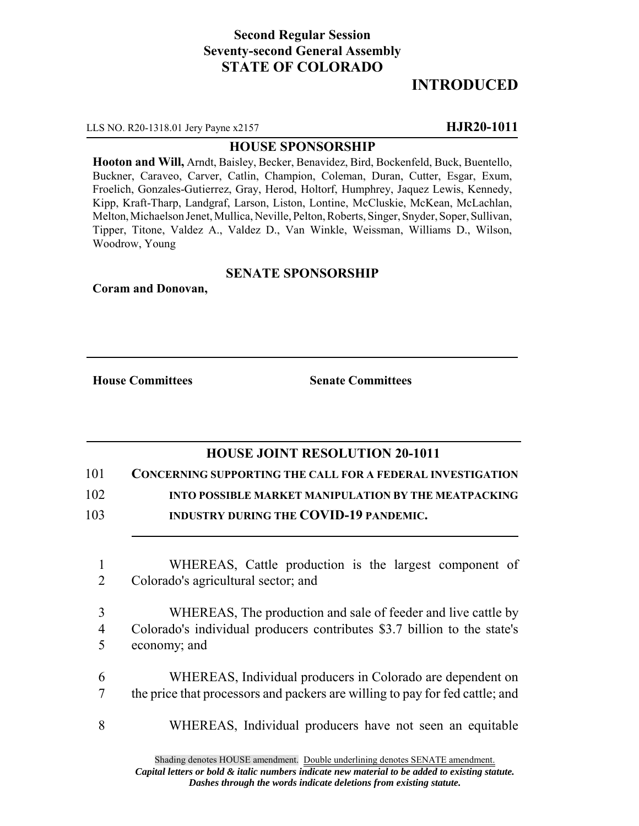## **Second Regular Session Seventy-second General Assembly STATE OF COLORADO**

# **INTRODUCED**

LLS NO. R20-1318.01 Jery Payne x2157 **HJR20-1011**

#### **HOUSE SPONSORSHIP**

**Hooton and Will,** Arndt, Baisley, Becker, Benavidez, Bird, Bockenfeld, Buck, Buentello, Buckner, Caraveo, Carver, Catlin, Champion, Coleman, Duran, Cutter, Esgar, Exum, Froelich, Gonzales-Gutierrez, Gray, Herod, Holtorf, Humphrey, Jaquez Lewis, Kennedy, Kipp, Kraft-Tharp, Landgraf, Larson, Liston, Lontine, McCluskie, McKean, McLachlan, Melton, Michaelson Jenet, Mullica, Neville, Pelton, Roberts, Singer, Snyder, Soper, Sullivan, Tipper, Titone, Valdez A., Valdez D., Van Winkle, Weissman, Williams D., Wilson, Woodrow, Young

### **SENATE SPONSORSHIP**

**Coram and Donovan,**

**House Committees Senate Committees**

### **HOUSE JOINT RESOLUTION 20-1011**

101 **CONCERNING SUPPORTING THE CALL FOR A FEDERAL INVESTIGATION**

102 **INTO POSSIBLE MARKET MANIPULATION BY THE MEATPACKING**

- 103 **INDUSTRY DURING THE COVID-19 PANDEMIC.**
	- 1 WHEREAS, Cattle production is the largest component of 2 Colorado's agricultural sector; and
	- 3 WHEREAS, The production and sale of feeder and live cattle by 4 Colorado's individual producers contributes \$3.7 billion to the state's 5 economy; and
	- 6 WHEREAS, Individual producers in Colorado are dependent on 7 the price that processors and packers are willing to pay for fed cattle; and
	- 8 WHEREAS, Individual producers have not seen an equitable